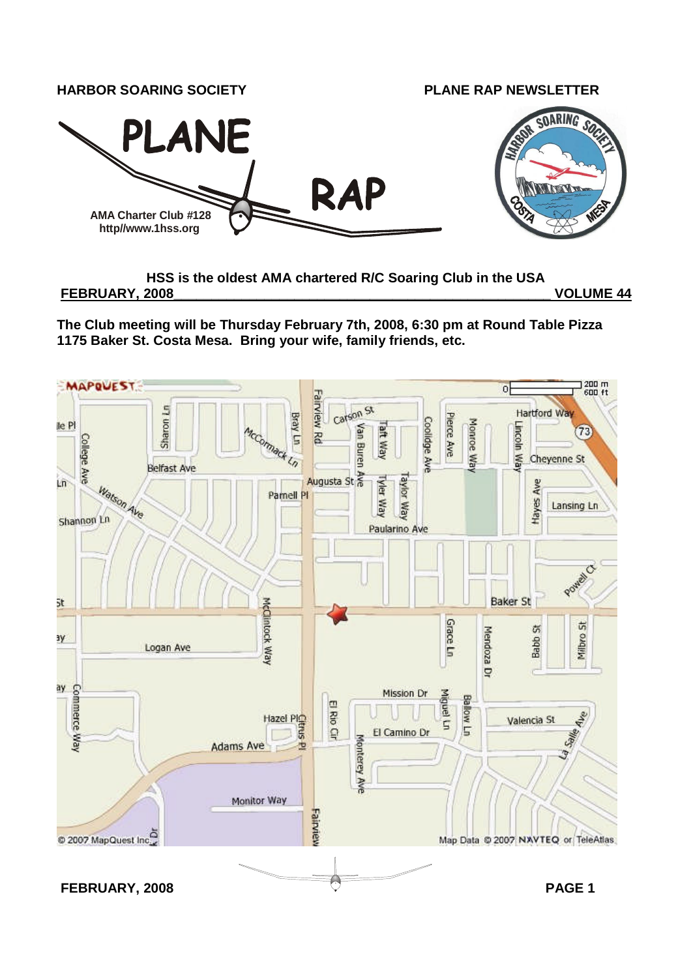

## **HSS is the oldest AMA chartered R/C Soaring Club in the USA**

**FEBRUARY, 2008\_\_\_\_\_\_\_\_\_\_\_\_\_\_\_\_\_\_\_\_\_\_\_\_\_\_\_\_\_\_\_\_\_\_\_\_\_\_\_\_\_\_\_\_\_\_\_\_\_\_ VOLUME 44**

**The Club meeting will be Thursday February 7th, 2008, 6:30 pm at Round Table Pizza 1175 Baker St. Costa Mesa. Bring your wife, family friends, etc.**

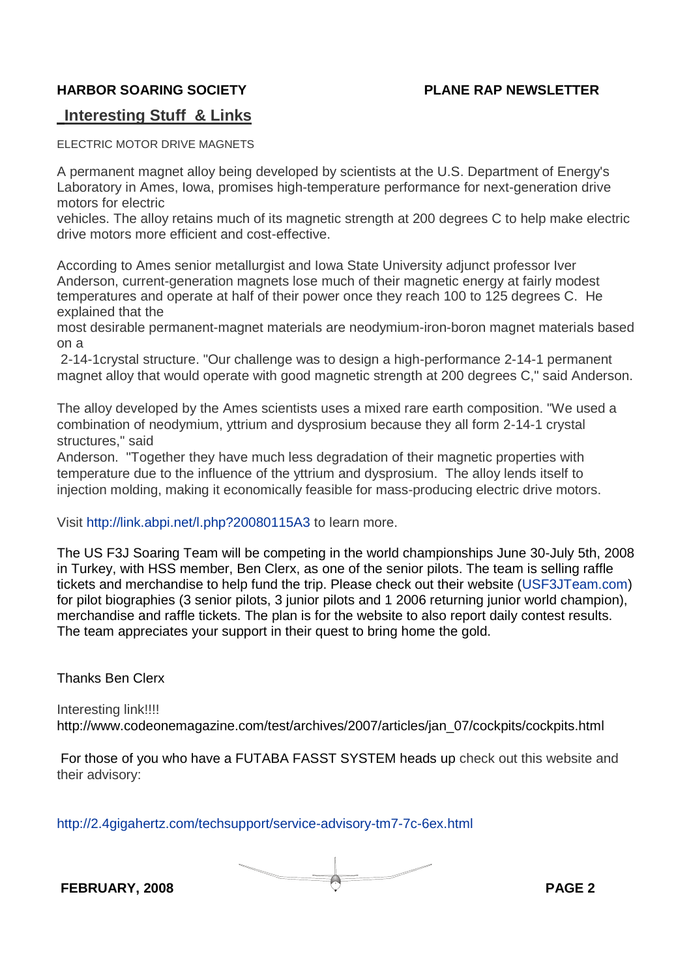## **Interesting Stuff & Links**

ELECTRIC MOTOR DRIVE MAGNETS

A permanent magnet alloy being developed by scientists at the U.S. Department of Energy's Laboratory in Ames, Iowa, promises high-temperature performance for next-generation drive motors for electric

vehicles. The alloy retains much of its magnetic strength at 200 degrees C to help make electric drive motors more efficient and cost-effective.

According to Ames senior metallurgist and Iowa State University adjunct professor Iver Anderson, current-generation magnets lose much of their magnetic energy at fairly modest temperatures and operate at half of their power once they reach 100 to 125 degrees C. He explained that the

most desirable permanent-magnet materials are neodymium-iron-boron magnet materials based on a

2-14-1crystal structure. "Our challenge was to design a high-performance 2-14-1 permanent magnet alloy that would operate with good magnetic strength at 200 degrees C," said Anderson.

The alloy developed by the Ames scientists uses a mixed rare earth composition. "We used a combination of neodymium, yttrium and dysprosium because they all form 2-14-1 crystal structures," said

Anderson. "Together they have much less degradation of their magnetic properties with temperature due to the influence of the yttrium and dysprosium. The alloy lends itself to injection molding, making it economically feasible for mass-producing electric drive motors.

Visit http://link.abpi.net/l.php?20080115A3 to learn more.

The US F3J Soaring Team will be competing in the world championships June 30-July 5th, 2008 in Turkey, with HSS member, Ben Clerx, as one of the senior pilots. The team is selling raffle tickets and merchandise to help fund the trip. Please check out their website (USF3JTeam.com) for pilot biographies (3 senior pilots, 3 junior pilots and 1 2006 returning junior world champion), merchandise and raffle tickets. The plan is for the website to also report daily contest results. The team appreciates your support in their quest to bring home the gold.

Thanks Ben Clerx

Interesting link!!!! http://www.codeonemagazine.com/test/archives/2007/articles/jan\_07/cockpits/cockpits.html

For those of you who have a FUTABA FASST SYSTEM heads up check out this website and their advisory:

http://2.4gigahertz.com/techsupport/service-advisory-tm7-7c-6ex.html

**FEBRUARY, 2008 PAGE 2**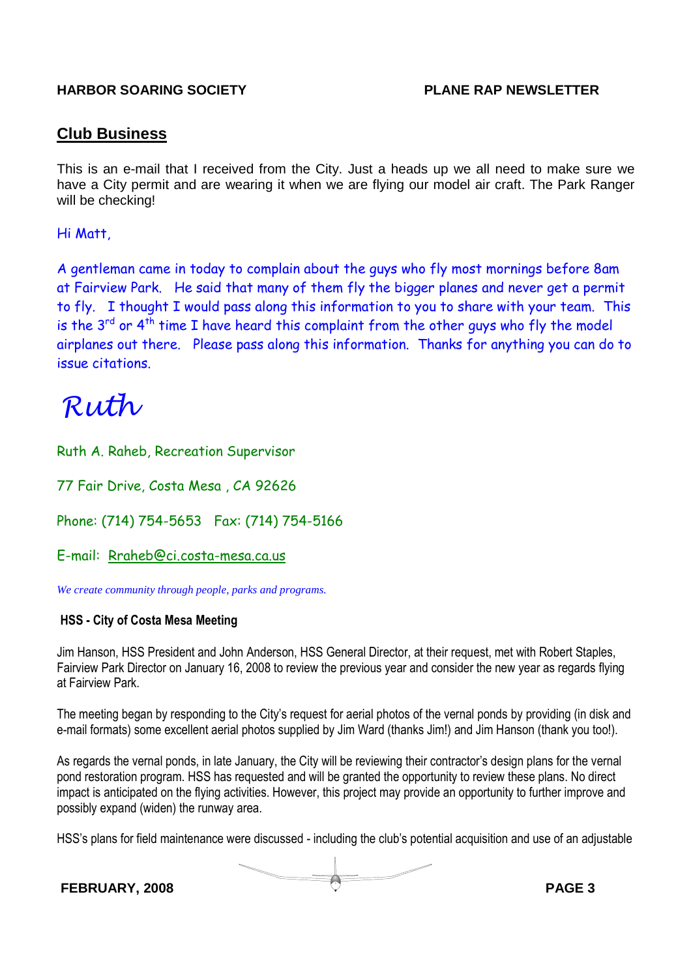### **Club Business**

This is an e-mail that I received from the City. Just a heads up we all need to make sure we have a City permit and are wearing it when we are flying our model air craft. The Park Ranger will be checking!

#### Hi Matt,

A gentleman came in today to complain about the guys who fly most mornings before 8am at Fairview Park. He said that many of them fly the bigger planes and never get a permit to fly. I thought I would pass along this information to you to share with your team. This is the  $3^{rd}$  or  $4^{th}$  time I have heard this complaint from the other guys who fly the model airplanes out there. Please pass along this information. Thanks for anything you can do to issue citations.

# Ruth

Ruth A. Raheb, Recreation Supervisor

77 Fair Drive, Costa Mesa , CA 92626

Phone: (714) 754-5653 Fax: (714) 754-5166

E-mail: Rraheb@ci.costa-mesa.ca.us

*We create community through people, parks and programs.*

#### **HSS - City of Costa Mesa Meeting**

Jim Hanson, HSS President and John Anderson, HSS General Director, at their request, met with Robert Staples, Fairview Park Director on January 16, 2008 to review the previous year and consider the new year as regards flying at Fairview Park.

The meeting began by responding to the City's request for aerial photos of the vernal ponds by providing (in disk and e-mail formats) some excellent aerial photos supplied by Jim Ward (thanks Jim!) and Jim Hanson (thank you too!).

As regards the vernal ponds, in late January, the City will be reviewing their contractor's design plans for the vernal pond restoration program. HSS has requested and will be granted the opportunity to review these plans. No direct impact is anticipated on the flying activities. However, this project may provide an opportunity to further improve and possibly expand (widen) the runway area.

HSS's plans for field maintenance were discussed - including the club's potential acquisition and use of an adjustable

**FEBRUARY, 2008 PAGE 3**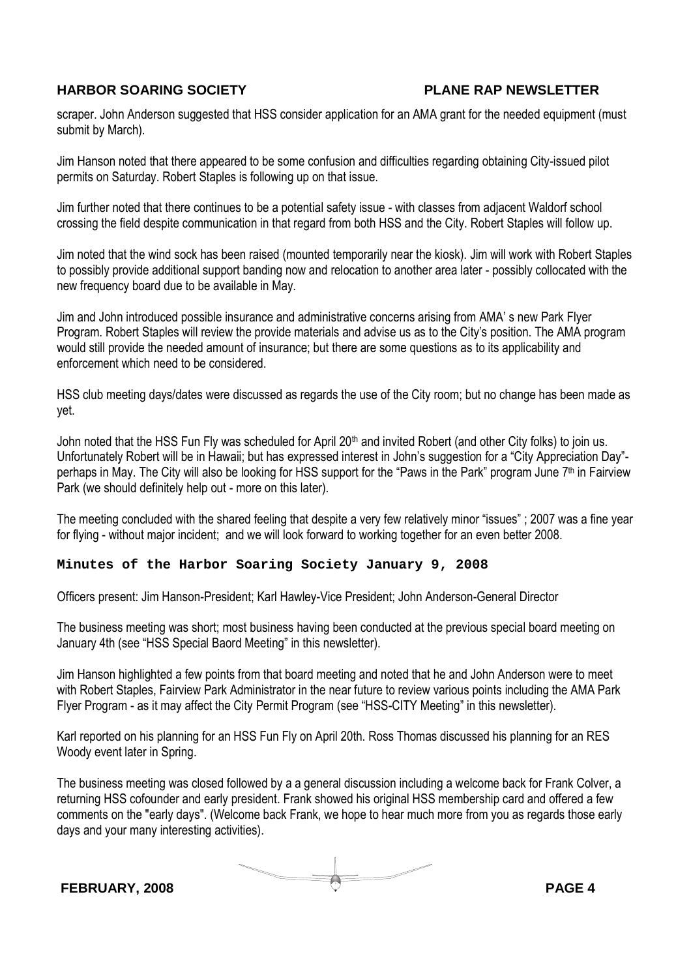scraper. John Anderson suggested that HSS consider application for an AMA grant for the needed equipment (must submit by March).

Jim Hanson noted that there appeared to be some confusion and difficulties regarding obtaining City-issued pilot permits on Saturday. Robert Staples is following up on that issue.

Jim further noted that there continues to be a potential safety issue - with classes from adjacent Waldorf school crossing the field despite communication in that regard from both HSS and the City. Robert Staples will follow up.

Jim noted that the wind sock has been raised (mounted temporarily near the kiosk). Jim will work with Robert Staples to possibly provide additional support banding now and relocation to another area later - possibly collocated with the new frequency board due to be available in May.

Jim and John introduced possible insurance and administrative concerns arising from AMA' s new Park Flyer Program. Robert Staples will review the provide materials and advise us as to the City's position. The AMA program would still provide the needed amount of insurance; but there are some questions as to its applicability and enforcement which need to be considered.

HSS club meeting days/dates were discussed as regards the use of the City room; but no change has been made as yet.

John noted that the HSS Fun Fly was scheduled for April 20<sup>th</sup> and invited Robert (and other City folks) to join us. Unfortunately Robert will be in Hawaii; but has expressed interest in John's suggestion for a "City Appreciation Day" perhaps in May. The City will also be looking for HSS support for the "Paws in the Park" program June 7th in Fairview Park (we should definitely help out - more on this later).

The meeting concluded with the shared feeling that despite a very few relatively minor "issues" ; 2007 was a fine year for flying - without major incident; and we will look forward to working together for an even better 2008.

#### **Minutes of the Harbor Soaring Society January 9, 2008**

Officers present: Jim Hanson-President; Karl Hawley-Vice President; John Anderson-General Director

The business meeting was short; most business having been conducted at the previous special board meeting on January 4th (see "HSS Special Baord Meeting" in this newsletter).

Jim Hanson highlighted a few points from that board meeting and noted that he and John Anderson were to meet with Robert Staples, Fairview Park Administrator in the near future to review various points including the AMA Park Flyer Program - as it may affect the City Permit Program (see "HSS-CITY Meeting" in this newsletter).

Karl reported on his planning for an HSS Fun Fly on April 20th. Ross Thomas discussed his planning for an RES Woody event later in Spring.

The business meeting was closed followed by a a general discussion including a welcome back for Frank Colver, a returning HSS cofounder and early president. Frank showed his original HSS membership card and offered a few comments on the "early days". (Welcome back Frank, we hope to hear much more from you as regards those early days and your many interesting activities).

**FEBRUARY, 2008 PAGE 4**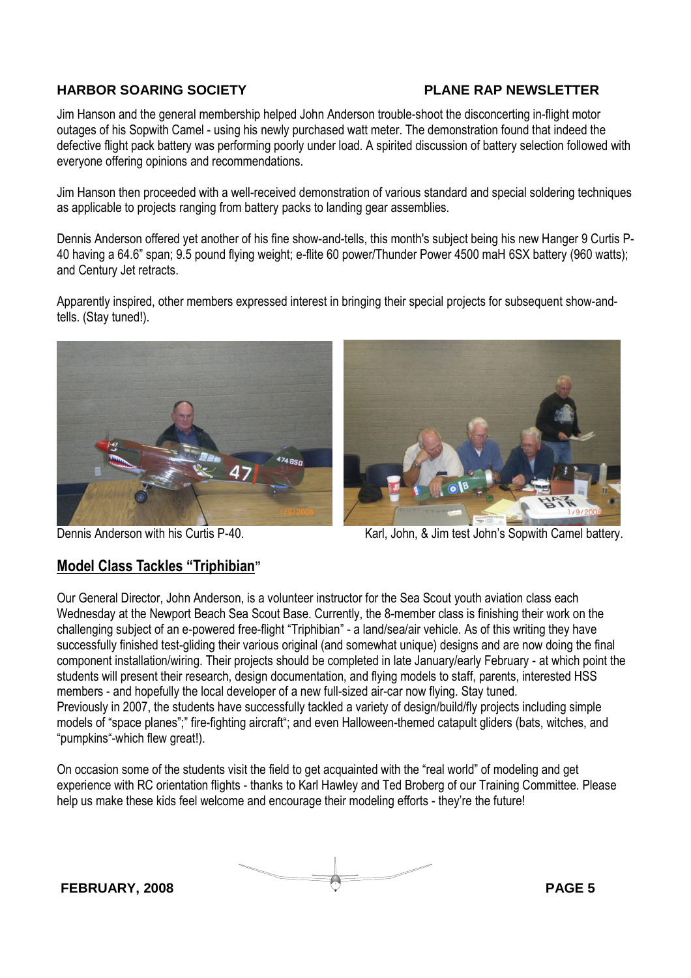Jim Hanson and the general membership helped John Anderson trouble-shoot the disconcerting in-flight motor outages of his Sopwith Camel - using his newly purchased watt meter. The demonstration found that indeed the defective flight pack battery was performing poorly under load. A spirited discussion of battery selection followed with everyone offering opinions and recommendations.

Jim Hanson then proceeded with a well-received demonstration of various standard and special soldering techniques as applicable to projects ranging from battery packs to landing gear assemblies.

Dennis Anderson offered yet another of his fine show-and-tells, this month's subject being his new Hanger 9 Curtis P-40 having a 64.6" span; 9.5 pound flying weight; e-flite 60 power/Thunder Power 4500 maH 6SX battery (960 watts); and Century Jet retracts.

Apparently inspired, other members expressed interest in bringing their special projects for subsequent show-andtells. (Stay tuned!).





#### Dennis Anderson with his Curtis P-40. Karl, John, & Jim test John's Sopwith Camel battery.

## **Model Class Tackles "Triphibian"**

Our General Director, John Anderson, is a volunteer instructor for the Sea Scout youth aviation class each Wednesday at the Newport Beach Sea Scout Base. Currently, the 8-member class is finishing their work on the challenging subject of an e-powered free-flight "Triphibian" - a land/sea/air vehicle. As of this writing they have successfully finished test-gliding their various original (and somewhat unique) designs and are now doing the final component installation/wiring. Their projects should be completed in late January/early February - at which point the students will present their research, design documentation, and flying models to staff, parents, interested HSS members - and hopefully the local developer of a new full-sized air-car now flying. Stay tuned. Previously in 2007, the students have successfully tackled a variety of design/build/fly projects including simple models of "space planes";" fire-fighting aircraft"; and even Halloween-themed catapult gliders (bats, witches, and "pumpkins"-which flew great!).

On occasion some of the students visit the field to get acquainted with the "real world" of modeling and get experience with RC orientation flights - thanks to Karl Hawley and Ted Broberg of our Training Committee. Please help us make these kids feel welcome and encourage their modeling efforts - they're the future!

**FEBRUARY, 2008 PAGE 5**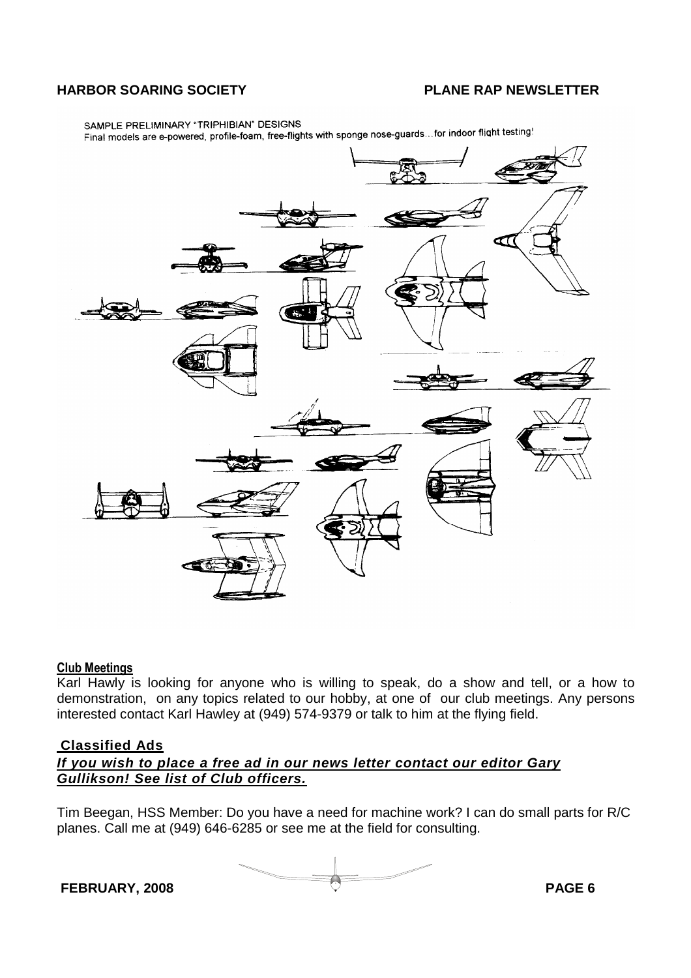SAMPLE PRELIMINARY "TRIPHIBIAN" DESIGNS SAMPLE PRELIMINARY \* I RIPHIBIAN" DESIGNS<br>Final models are e-powered, profile-foam, free-flights with sponge nose-guards...for indoor flight testing!



#### **Club Meetings**

Karl Hawly is looking for anyone who is willing to speak, do a show and tell, or a how to demonstration, on any topics related to our hobby, at one of our club meetings. Any persons interested contact Karl Hawley at (949) 574-9379 or talk to him at the flying field.

#### **Classified Ads**

#### *If you wish to place a free ad in our news letter contact our editor Gary Gullikson! See list of Club officers.*

Tim Beegan, HSS Member: Do you have a need for machine work? I can do small parts for R/C planes. Call me at (949) 646-6285 or see me at the field for consulting.

**FEBRUARY, 2008 PAGE 6**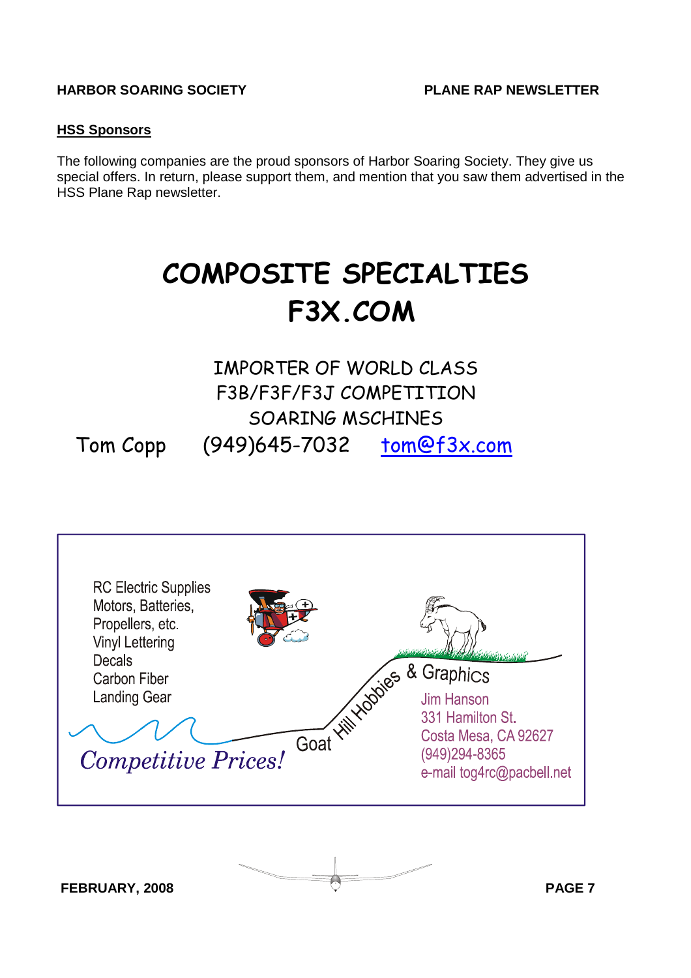#### **HSS Sponsors**

The following companies are the proud sponsors of Harbor Soaring Society. They give us special offers. In return, please support them, and mention that you saw them advertised in the HSS Plane Rap newsletter.

# **COMPOSITE SPECIALTIES F3X.COM**

## IMPORTER OF WORLD CLASS F3B/F3F/F3J COMPETITION SOARING MSCHINES Tom Copp (949)645-7032 tom@f3x.com



**FEBRUARY, 2008 PAGE 7**